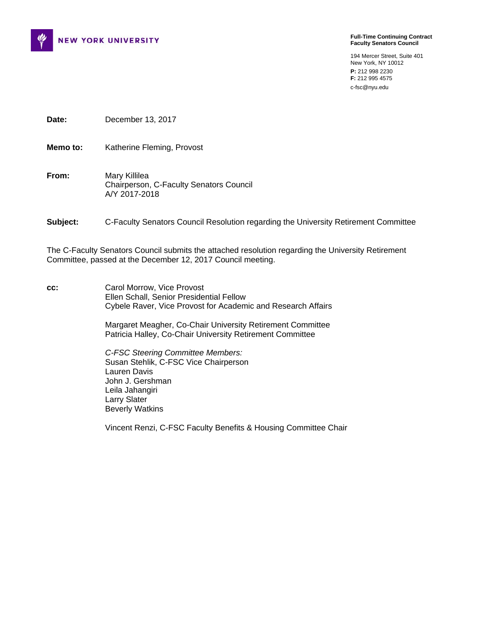

**Full-Time Continuing Contract Faculty Senators Council** 

194 Mercer Street, Suite 401 New York, NY 10012 **P:** 212 998 2230 **F:** 212 995 4575 c-fsc@nyu.edu

**Date:** December 13, 2017

**Memo to:** Katherine Fleming, Provost

**From:** Mary Killilea Chairperson, C-Faculty Senators Council A/Y 2017-2018

**Subject:** C-Faculty Senators Council Resolution regarding the University Retirement Committee

The C-Faculty Senators Council submits the attached resolution regarding the University Retirement Committee, passed at the December 12, 2017 Council meeting.

**cc:** Carol Morrow, Vice Provost Ellen Schall, Senior Presidential Fellow Cybele Raver, Vice Provost for Academic and Research Affairs

> Margaret Meagher, Co-Chair University Retirement Committee Patricia Halley, Co-Chair University Retirement Committee

 *C-FSC Steering Committee Members:* Susan Stehlik, C-FSC Vice Chairperson Lauren Davis John J. Gershman Leila Jahangiri Larry Slater Beverly Watkins

Vincent Renzi, C-FSC Faculty Benefits & Housing Committee Chair